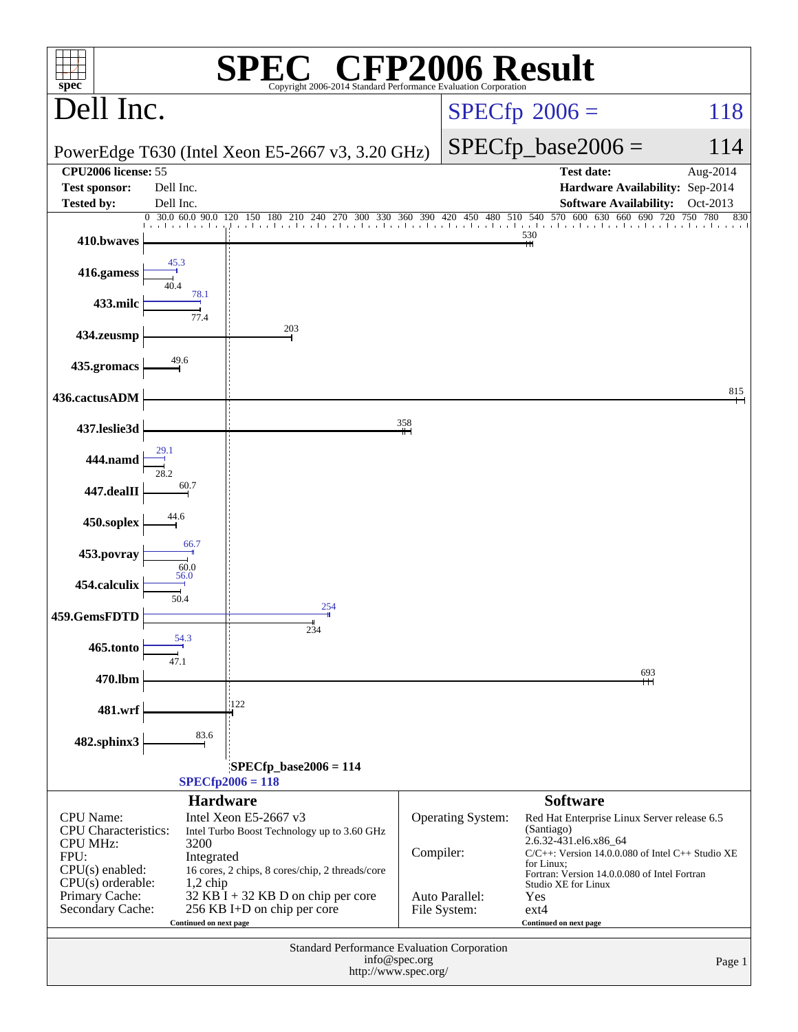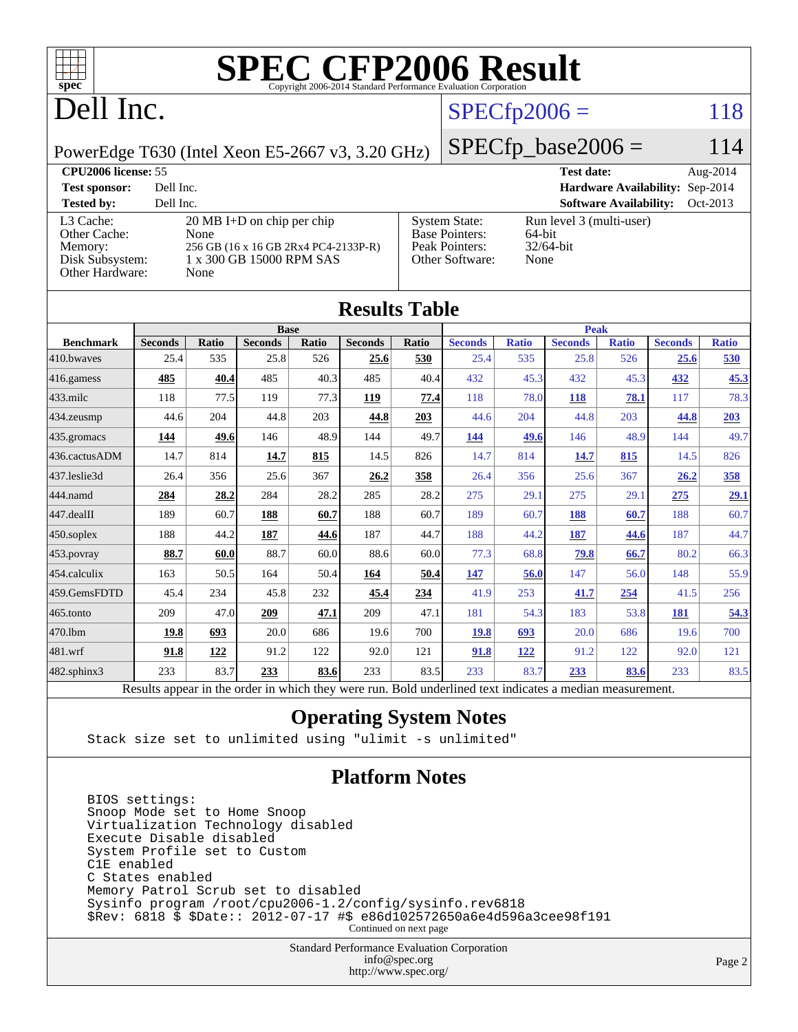

# **[SPEC CFP2006 Result](http://www.spec.org/auto/cpu2006/Docs/result-fields.html#SPECCFP2006Result)**

# Dell Inc.

## $SPECfp2006 = 118$  $SPECfp2006 = 118$

PowerEdge T630 (Intel Xeon E5-2667 v3, 3.20 GHz)

 $SPECfp\_base2006 = 114$ 

| <b>CPU2006 license: 55</b>                                                 |                                                                                                                          |                                                                                    | <b>Test date:</b>                                          | Aug- $2014$ |
|----------------------------------------------------------------------------|--------------------------------------------------------------------------------------------------------------------------|------------------------------------------------------------------------------------|------------------------------------------------------------|-------------|
| <b>Test sponsor:</b>                                                       | Dell Inc.                                                                                                                |                                                                                    | Hardware Availability: Sep-2014                            |             |
| <b>Tested by:</b>                                                          | Dell Inc.                                                                                                                |                                                                                    | <b>Software Availability:</b>                              | Oct-2013    |
| L3 Cache:<br>Other Cache:<br>Memory:<br>Disk Subsystem:<br>Other Hardware: | $20 \text{ MB I+D}$ on chip per chip<br>None<br>256 GB (16 x 16 GB 2Rx4 PC4-2133P-R)<br>1 x 300 GB 15000 RPM SAS<br>None | <b>System State:</b><br><b>Base Pointers:</b><br>Peak Pointers:<br>Other Software: | Run level 3 (multi-user)<br>64-bit<br>$32/64$ -bit<br>None |             |

| <b>Results Table</b>                                                                                     |                |              |                |       |                |              |                |              |                |              |                |              |
|----------------------------------------------------------------------------------------------------------|----------------|--------------|----------------|-------|----------------|--------------|----------------|--------------|----------------|--------------|----------------|--------------|
|                                                                                                          | <b>Base</b>    |              |                |       |                | <b>Peak</b>  |                |              |                |              |                |              |
| <b>Benchmark</b>                                                                                         | <b>Seconds</b> | <b>Ratio</b> | <b>Seconds</b> | Ratio | <b>Seconds</b> | <b>Ratio</b> | <b>Seconds</b> | <b>Ratio</b> | <b>Seconds</b> | <b>Ratio</b> | <b>Seconds</b> | <b>Ratio</b> |
| 410.bwayes                                                                                               | 25.4           | 535          | 25.8           | 526   | 25.6           | 530          | 25.4           | 535          | 25.8           | 526          | 25.6           | 530          |
| 416.gamess                                                                                               | 485            | 40.4         | 485            | 40.3  | 485            | 40.4         | 432            | 45.3         | 432            | 45.3         | 432            | 45.3         |
| $433$ .milc                                                                                              | 118            | 77.5         | 119            | 77.3  | 119            | 77.4         | 118            | 78.0         | 118            | 78.1         | 117            | 78.3         |
| 434.zeusmp                                                                                               | 44.6           | 204          | 44.8           | 203   | 44.8           | 203          | 44.6           | 204          | 44.8           | 203          | 44.8           | 203          |
| 435.gromacs                                                                                              | 144            | 49.6         | 146            | 48.9  | 144            | 49.7         | 144            | 49.6         | 146            | 48.9         | 144            | 49.7         |
| 436.cactusADM                                                                                            | 14.7           | 814          | 14.7           | 815   | 14.5           | 826          | 14.7           | 814          | 14.7           | 815          | 14.5           | 826          |
| 437.leslie3d                                                                                             | 26.4           | 356          | 25.6           | 367   | 26.2           | 358          | 26.4           | 356          | 25.6           | 367          | 26.2           | <u>358</u>   |
| 444.namd                                                                                                 | 284            | 28.2         | 284            | 28.2  | 285            | 28.2         | 275            | 29.1         | 275            | 29.1         | 275            | 29.1         |
| 447.dealII                                                                                               | 189            | 60.7         | 188            | 60.7  | 188            | 60.7         | 189            | 60.7         | 188            | 60.7         | 188            | 60.7         |
| 450.soplex                                                                                               | 188            | 44.2         | 187            | 44.6  | 187            | 44.7         | 188            | 44.2         | 187            | 44.6         | 187            | 44.7         |
| 453.povray                                                                                               | 88.7           | 60.0         | 88.7           | 60.0  | 88.6           | 60.0         | 77.3           | 68.8         | 79.8           | 66.7         | 80.2           | 66.3         |
| 454.calculix                                                                                             | 163            | 50.5         | 164            | 50.4  | 164            | 50.4         | 147            | 56.0         | 147            | 56.0         | 148            | 55.9         |
| 459.GemsFDTD                                                                                             | 45.4           | 234          | 45.8           | 232   | 45.4           | 234          | 41.9           | 253          | 41.7           | 254          | 41.5           | 256          |
| 465.tonto                                                                                                | 209            | 47.0         | 209            | 47.1  | 209            | 47.1         | 181            | 54.3         | 183            | 53.8         | 181            | 54.3         |
| 470.1bm                                                                                                  | 19.8           | 693          | 20.0           | 686   | 19.6           | 700          | 19.8           | 693          | 20.0           | 686          | 19.6           | 700          |
| 481.wrf                                                                                                  | 91.8           | 122          | 91.2           | 122   | 92.0           | 121          | 91.8           | 122          | 91.2           | 122          | 92.0           | 121          |
| $482$ .sphinx $3$                                                                                        | 233            | 83.7         | 233            | 83.6  | 233            | 83.5         | 233            | 83.7         | 233            | 83.6         | 233            | 83.5         |
| Results appear in the order in which they were run. Bold underlined text indicates a median measurement. |                |              |                |       |                |              |                |              |                |              |                |              |

### **[Operating System Notes](http://www.spec.org/auto/cpu2006/Docs/result-fields.html#OperatingSystemNotes)**

Stack size set to unlimited using "ulimit -s unlimited"

### **[Platform Notes](http://www.spec.org/auto/cpu2006/Docs/result-fields.html#PlatformNotes)**

 BIOS settings: Snoop Mode set to Home Snoop Virtualization Technology disabled Execute Disable disabled System Profile set to Custom C1E enabled C States enabled Memory Patrol Scrub set to disabled Sysinfo program /root/cpu2006-1.2/config/sysinfo.rev6818 \$Rev: 6818 \$ \$Date:: 2012-07-17 #\$ e86d102572650a6e4d596a3cee98f191 Continued on next page

> Standard Performance Evaluation Corporation [info@spec.org](mailto:info@spec.org) <http://www.spec.org/>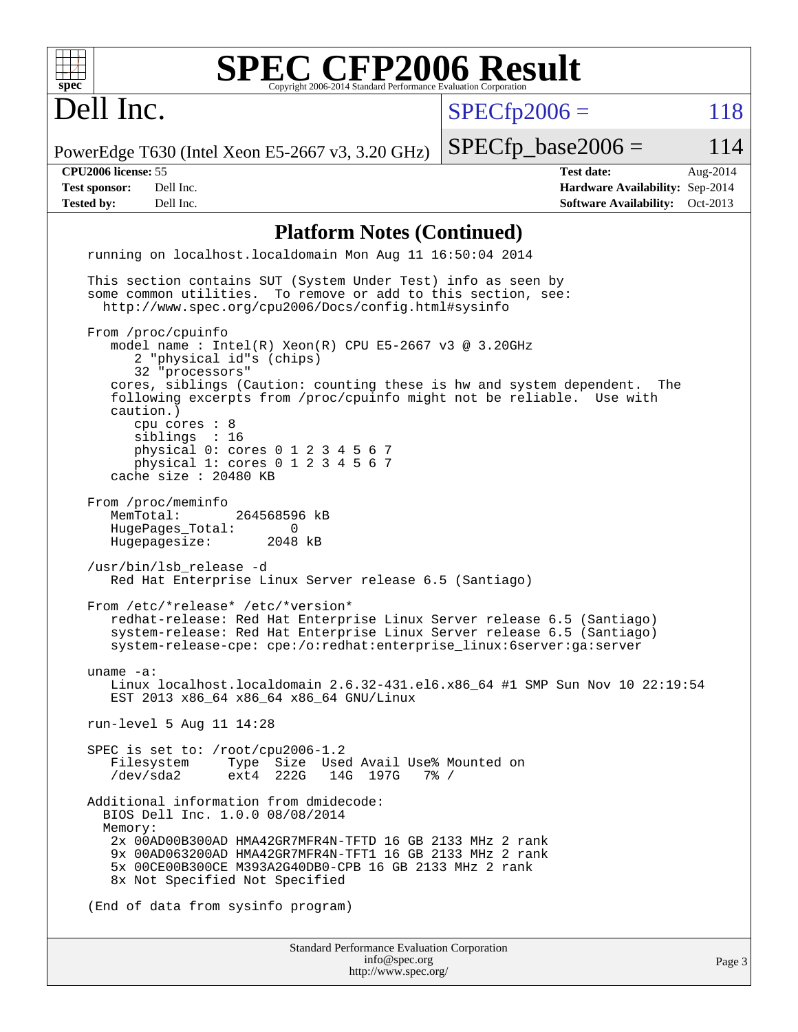| <b>SPEC CFP2006 Result</b><br>spec <sup>®</sup>                                                                                                                                                                                                                                                                                                                                                                                   | Copyright 2006-2014 Standard Performance Evaluation Corporation                             |                      |                                                                                                |          |
|-----------------------------------------------------------------------------------------------------------------------------------------------------------------------------------------------------------------------------------------------------------------------------------------------------------------------------------------------------------------------------------------------------------------------------------|---------------------------------------------------------------------------------------------|----------------------|------------------------------------------------------------------------------------------------|----------|
| Dell Inc.                                                                                                                                                                                                                                                                                                                                                                                                                         |                                                                                             | $SPECfp2006 =$       |                                                                                                | 118      |
| PowerEdge T630 (Intel Xeon E5-2667 v3, 3.20 GHz)                                                                                                                                                                                                                                                                                                                                                                                  |                                                                                             | $SPECfp\_base2006 =$ |                                                                                                | 114      |
| CPU2006 license: 55<br><b>Test sponsor:</b><br>Dell Inc.<br><b>Tested by:</b><br>Dell Inc.                                                                                                                                                                                                                                                                                                                                        |                                                                                             |                      | <b>Test date:</b><br>Hardware Availability: Sep-2014<br><b>Software Availability:</b> Oct-2013 | Aug-2014 |
|                                                                                                                                                                                                                                                                                                                                                                                                                                   | <b>Platform Notes (Continued)</b>                                                           |                      |                                                                                                |          |
| running on localhost.localdomain Mon Aug 11 16:50:04 2014                                                                                                                                                                                                                                                                                                                                                                         |                                                                                             |                      |                                                                                                |          |
| This section contains SUT (System Under Test) info as seen by<br>some common utilities. To remove or add to this section, see:<br>http://www.spec.org/cpu2006/Docs/config.html#sysinfo                                                                                                                                                                                                                                            |                                                                                             |                      |                                                                                                |          |
| From /proc/cpuinfo<br>model name: $Intel(R)$ Xeon(R) CPU E5-2667 v3 @ 3.20GHz<br>2 "physical id"s (chips)<br>32 "processors"<br>cores, siblings (Caution: counting these is hw and system dependent.<br>following excerpts from /proc/cpuinfo might not be reliable. Use with<br>caution.)<br>cpu cores : 8<br>siblings : 16<br>physical 0: cores 0 1 2 3 4 5 6 7<br>physical 1: cores 0 1 2 3 4 5 6 7<br>cache size $: 20480$ KB |                                                                                             |                      | The                                                                                            |          |
| From /proc/meminfo<br>264568596 kB<br>MemTotal:<br>HugePages_Total:<br>$\Omega$<br>Hugepagesize:<br>2048 kB<br>/usr/bin/lsb release -d<br>Red Hat Enterprise Linux Server release 6.5 (Santiago)                                                                                                                                                                                                                                  |                                                                                             |                      |                                                                                                |          |
| From /etc/*release* /etc/*version*<br>redhat-release: Red Hat Enterprise Linux Server release 6.5 (Santiago)<br>system-release: Red Hat Enterprise Linux Server release 6.5 (Santiago)<br>system-release-cpe: cpe:/o:redhat:enterprise_linux:6server:ga:server                                                                                                                                                                    |                                                                                             |                      |                                                                                                |          |
| uname $-a$ :<br>Linux localhost.localdomain 2.6.32-431.el6.x86_64 #1 SMP Sun Nov 10 22:19:54<br>EST 2013 x86_64 x86_64 x86_64 GNU/Linux                                                                                                                                                                                                                                                                                           |                                                                                             |                      |                                                                                                |          |
| run-level 5 Aug 11 14:28                                                                                                                                                                                                                                                                                                                                                                                                          |                                                                                             |                      |                                                                                                |          |
| SPEC is set to: /root/cpu2006-1.2<br>Filesystem<br>Type Size Used Avail Use% Mounted on<br>/dev/sda2<br>$ext4$ 222G                                                                                                                                                                                                                                                                                                               | 14G 197G                                                                                    | $7\%$ /              |                                                                                                |          |
| Additional information from dmidecode:<br>BIOS Dell Inc. 1.0.0 08/08/2014<br>Memory:<br>2x 00AD00B300AD HMA42GR7MFR4N-TFTD 16 GB 2133 MHz 2 rank<br>9x 00AD063200AD HMA42GR7MFR4N-TFT1 16 GB 2133 MHz 2 rank<br>5x 00CE00B300CE M393A2G40DB0-CPB 16 GB 2133 MHz 2 rank<br>8x Not Specified Not Specified                                                                                                                          |                                                                                             |                      |                                                                                                |          |
| (End of data from sysinfo program)                                                                                                                                                                                                                                                                                                                                                                                                |                                                                                             |                      |                                                                                                |          |
|                                                                                                                                                                                                                                                                                                                                                                                                                                   | <b>Standard Performance Evaluation Corporation</b><br>info@spec.org<br>http://www.spec.org/ |                      |                                                                                                | Page 3   |

<http://www.spec.org/>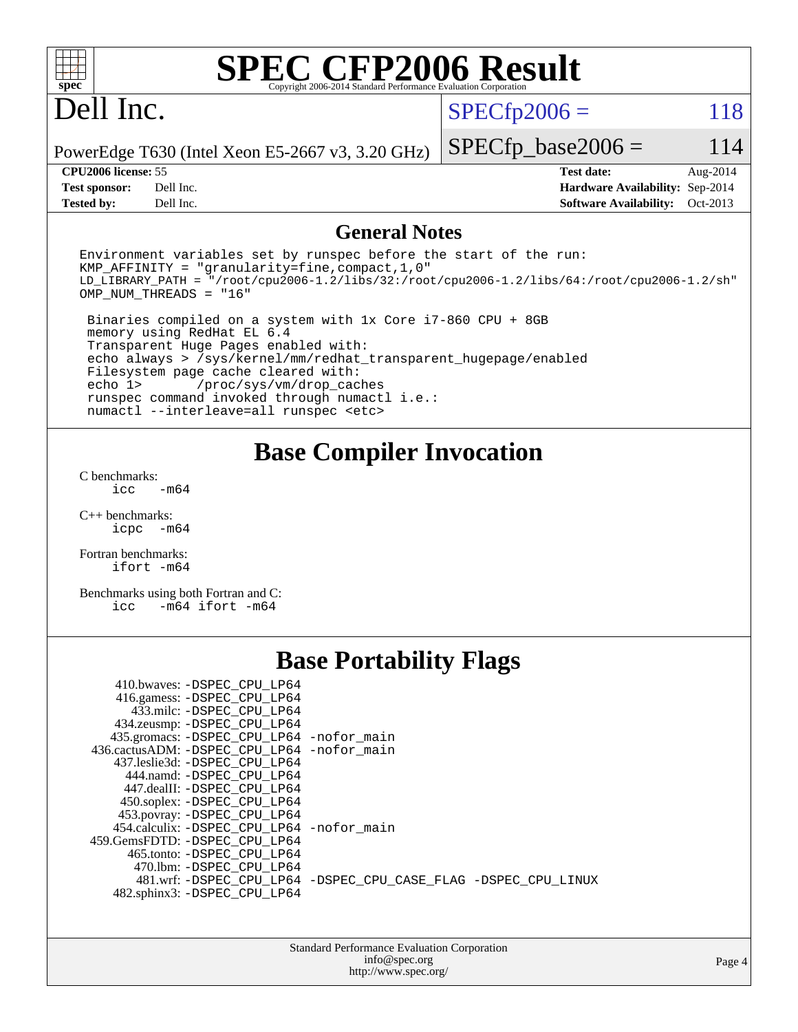| $spec^*$                                                         |                                                                                                                                                                                                                                                                                                                                                                                                                                                                | <b>SPEC CFP2006 Result</b><br>Copyright 2006-2014 Standard Performance Evaluation Corporation                                                                                    |                |                                                                                              |                      |
|------------------------------------------------------------------|----------------------------------------------------------------------------------------------------------------------------------------------------------------------------------------------------------------------------------------------------------------------------------------------------------------------------------------------------------------------------------------------------------------------------------------------------------------|----------------------------------------------------------------------------------------------------------------------------------------------------------------------------------|----------------|----------------------------------------------------------------------------------------------|----------------------|
| Dell Inc.                                                        |                                                                                                                                                                                                                                                                                                                                                                                                                                                                |                                                                                                                                                                                  | $SPECfp2006 =$ |                                                                                              | 118                  |
|                                                                  | PowerEdge T630 (Intel Xeon E5-2667 v3, 3.20 GHz)                                                                                                                                                                                                                                                                                                                                                                                                               |                                                                                                                                                                                  |                | $SPECfp\_base2006 =$                                                                         | 114                  |
| CPU2006 license: 55<br><b>Test sponsor:</b><br><b>Tested by:</b> | Dell Inc.<br>Dell Inc.                                                                                                                                                                                                                                                                                                                                                                                                                                         |                                                                                                                                                                                  |                | <b>Test date:</b><br>Hardware Availability: Sep-2014<br><b>Software Availability:</b>        | Aug-2014<br>Oct-2013 |
|                                                                  |                                                                                                                                                                                                                                                                                                                                                                                                                                                                | <b>General Notes</b>                                                                                                                                                             |                |                                                                                              |                      |
| OMP_NUM_THREADS = "16"                                           | $KMP_A$ FFINITY = "granularity=fine, compact, 1, 0"                                                                                                                                                                                                                                                                                                                                                                                                            | Environment variables set by runspec before the start of the run:                                                                                                                |                | LD_LIBRARY_PATH = "/root/cpu2006-1.2/libs/32:/root/cpu2006-1.2/libs/64:/root/cpu2006-1.2/sh" |                      |
| echo 1>                                                          | memory using RedHat EL 6.4<br>Transparent Huge Pages enabled with:<br>Filesystem page cache cleared with:<br>/proc/sys/vm/drop_caches<br>numactl --interleave=all runspec <etc></etc>                                                                                                                                                                                                                                                                          | Binaries compiled on a system with 1x Core i7-860 CPU + 8GB<br>echo always > /sys/kernel/mm/redhat_transparent_hugepage/enabled<br>runspec command invoked through numactl i.e.: |                |                                                                                              |                      |
| C benchmarks:                                                    |                                                                                                                                                                                                                                                                                                                                                                                                                                                                | <b>Base Compiler Invocation</b>                                                                                                                                                  |                |                                                                                              |                      |
| icc<br>$C_{++}$ benchmarks:                                      | $-m64$                                                                                                                                                                                                                                                                                                                                                                                                                                                         |                                                                                                                                                                                  |                |                                                                                              |                      |
| icpc -m64                                                        |                                                                                                                                                                                                                                                                                                                                                                                                                                                                |                                                                                                                                                                                  |                |                                                                                              |                      |
| Fortran benchmarks:<br>$ifort -m64$                              |                                                                                                                                                                                                                                                                                                                                                                                                                                                                |                                                                                                                                                                                  |                |                                                                                              |                      |
| icc                                                              | Benchmarks using both Fortran and C:<br>$-m64$ ifort $-m64$                                                                                                                                                                                                                                                                                                                                                                                                    |                                                                                                                                                                                  |                |                                                                                              |                      |
|                                                                  |                                                                                                                                                                                                                                                                                                                                                                                                                                                                | <b>Base Portability Flags</b>                                                                                                                                                    |                |                                                                                              |                      |
|                                                                  | 410.bwaves: -DSPEC_CPU_LP64<br>416.gamess: - DSPEC CPU LP64<br>433.milc: -DSPEC CPU LP64<br>434.zeusmp: - DSPEC CPU LP64<br>435.gromacs: - DSPEC CPU LP64 - nofor main<br>436.cactusADM: -DSPEC_CPU_LP64 -nofor_main<br>437.leslie3d: -DSPEC_CPU_LP64<br>444.namd: - DSPEC CPU LP64<br>447.dealII: -DSPEC_CPU_LP64<br>450.soplex: -DSPEC CPU LP64<br>453.povray: -DSPEC_CPU_LP64<br>454.calculix: -DSPEC_CPU_LP64 -nofor_main<br>459.GemsFDTD: -DSPEC_CPU_LP64 |                                                                                                                                                                                  |                |                                                                                              |                      |
|                                                                  | 465.tonto: - DSPEC_CPU_LP64<br>470.1bm: -DSPEC_CPU_LP64<br>482.sphinx3: -DSPEC_CPU_LP64                                                                                                                                                                                                                                                                                                                                                                        | 481.wrf: -DSPEC_CPU_LP64 -DSPEC_CPU_CASE_FLAG -DSPEC_CPU_LINUX                                                                                                                   |                |                                                                                              |                      |
|                                                                  |                                                                                                                                                                                                                                                                                                                                                                                                                                                                | Standard Performance Evaluation Corporation<br>info@spec.org<br>http://www.spec.org/                                                                                             |                |                                                                                              | Page 4               |
|                                                                  |                                                                                                                                                                                                                                                                                                                                                                                                                                                                |                                                                                                                                                                                  |                |                                                                                              |                      |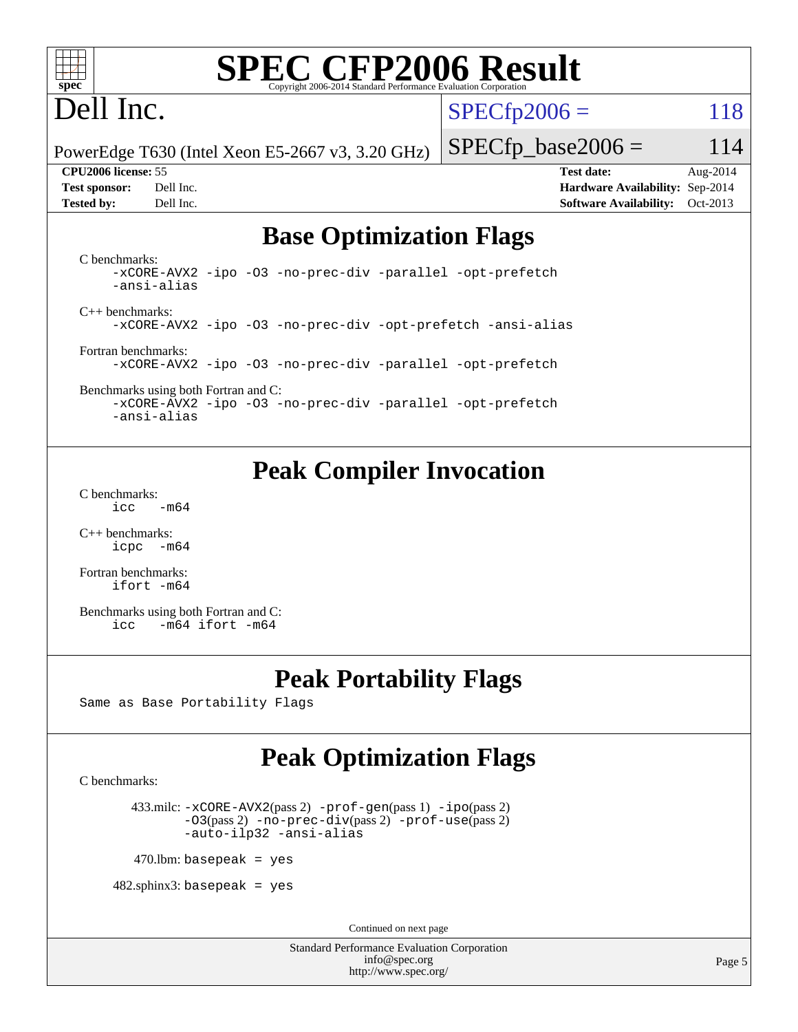| ٠ |  |  |  |  |  |
|---|--|--|--|--|--|

# **[SPEC CFP2006 Result](http://www.spec.org/auto/cpu2006/Docs/result-fields.html#SPECCFP2006Result)**

# Dell Inc.

 $SPECTp2006 = 118$ 

PowerEdge T630 (Intel Xeon E5-2667 v3, 3.20 GHz)

**[Tested by:](http://www.spec.org/auto/cpu2006/Docs/result-fields.html#Testedby)** Dell Inc. **[Software Availability:](http://www.spec.org/auto/cpu2006/Docs/result-fields.html#SoftwareAvailability)** Oct-2013

 $SPECfp\_base2006 = 114$ **[CPU2006 license:](http://www.spec.org/auto/cpu2006/Docs/result-fields.html#CPU2006license)** 55 **[Test date:](http://www.spec.org/auto/cpu2006/Docs/result-fields.html#Testdate)** Aug-2014 **[Test sponsor:](http://www.spec.org/auto/cpu2006/Docs/result-fields.html#Testsponsor)** Dell Inc. **[Hardware Availability:](http://www.spec.org/auto/cpu2006/Docs/result-fields.html#HardwareAvailability)** Sep-2014

# **[Base Optimization Flags](http://www.spec.org/auto/cpu2006/Docs/result-fields.html#BaseOptimizationFlags)**

[C benchmarks](http://www.spec.org/auto/cpu2006/Docs/result-fields.html#Cbenchmarks): [-xCORE-AVX2](http://www.spec.org/cpu2006/results/res2014q3/cpu2006-20140825-31018.flags.html#user_CCbase_f-xAVX2_5f5fc0cbe2c9f62c816d3e45806c70d7) [-ipo](http://www.spec.org/cpu2006/results/res2014q3/cpu2006-20140825-31018.flags.html#user_CCbase_f-ipo) [-O3](http://www.spec.org/cpu2006/results/res2014q3/cpu2006-20140825-31018.flags.html#user_CCbase_f-O3) [-no-prec-div](http://www.spec.org/cpu2006/results/res2014q3/cpu2006-20140825-31018.flags.html#user_CCbase_f-no-prec-div) [-parallel](http://www.spec.org/cpu2006/results/res2014q3/cpu2006-20140825-31018.flags.html#user_CCbase_f-parallel) [-opt-prefetch](http://www.spec.org/cpu2006/results/res2014q3/cpu2006-20140825-31018.flags.html#user_CCbase_f-opt-prefetch) [-ansi-alias](http://www.spec.org/cpu2006/results/res2014q3/cpu2006-20140825-31018.flags.html#user_CCbase_f-ansi-alias)

[C++ benchmarks:](http://www.spec.org/auto/cpu2006/Docs/result-fields.html#CXXbenchmarks) [-xCORE-AVX2](http://www.spec.org/cpu2006/results/res2014q3/cpu2006-20140825-31018.flags.html#user_CXXbase_f-xAVX2_5f5fc0cbe2c9f62c816d3e45806c70d7) [-ipo](http://www.spec.org/cpu2006/results/res2014q3/cpu2006-20140825-31018.flags.html#user_CXXbase_f-ipo) [-O3](http://www.spec.org/cpu2006/results/res2014q3/cpu2006-20140825-31018.flags.html#user_CXXbase_f-O3) [-no-prec-div](http://www.spec.org/cpu2006/results/res2014q3/cpu2006-20140825-31018.flags.html#user_CXXbase_f-no-prec-div) [-opt-prefetch](http://www.spec.org/cpu2006/results/res2014q3/cpu2006-20140825-31018.flags.html#user_CXXbase_f-opt-prefetch) [-ansi-alias](http://www.spec.org/cpu2006/results/res2014q3/cpu2006-20140825-31018.flags.html#user_CXXbase_f-ansi-alias)

[Fortran benchmarks](http://www.spec.org/auto/cpu2006/Docs/result-fields.html#Fortranbenchmarks): [-xCORE-AVX2](http://www.spec.org/cpu2006/results/res2014q3/cpu2006-20140825-31018.flags.html#user_FCbase_f-xAVX2_5f5fc0cbe2c9f62c816d3e45806c70d7) [-ipo](http://www.spec.org/cpu2006/results/res2014q3/cpu2006-20140825-31018.flags.html#user_FCbase_f-ipo) [-O3](http://www.spec.org/cpu2006/results/res2014q3/cpu2006-20140825-31018.flags.html#user_FCbase_f-O3) [-no-prec-div](http://www.spec.org/cpu2006/results/res2014q3/cpu2006-20140825-31018.flags.html#user_FCbase_f-no-prec-div) [-parallel](http://www.spec.org/cpu2006/results/res2014q3/cpu2006-20140825-31018.flags.html#user_FCbase_f-parallel) [-opt-prefetch](http://www.spec.org/cpu2006/results/res2014q3/cpu2006-20140825-31018.flags.html#user_FCbase_f-opt-prefetch)

[Benchmarks using both Fortran and C](http://www.spec.org/auto/cpu2006/Docs/result-fields.html#BenchmarksusingbothFortranandC): [-xCORE-AVX2](http://www.spec.org/cpu2006/results/res2014q3/cpu2006-20140825-31018.flags.html#user_CC_FCbase_f-xAVX2_5f5fc0cbe2c9f62c816d3e45806c70d7) [-ipo](http://www.spec.org/cpu2006/results/res2014q3/cpu2006-20140825-31018.flags.html#user_CC_FCbase_f-ipo) [-O3](http://www.spec.org/cpu2006/results/res2014q3/cpu2006-20140825-31018.flags.html#user_CC_FCbase_f-O3) [-no-prec-div](http://www.spec.org/cpu2006/results/res2014q3/cpu2006-20140825-31018.flags.html#user_CC_FCbase_f-no-prec-div) [-parallel](http://www.spec.org/cpu2006/results/res2014q3/cpu2006-20140825-31018.flags.html#user_CC_FCbase_f-parallel) [-opt-prefetch](http://www.spec.org/cpu2006/results/res2014q3/cpu2006-20140825-31018.flags.html#user_CC_FCbase_f-opt-prefetch)

[-ansi-alias](http://www.spec.org/cpu2006/results/res2014q3/cpu2006-20140825-31018.flags.html#user_CC_FCbase_f-ansi-alias)

## **[Peak Compiler Invocation](http://www.spec.org/auto/cpu2006/Docs/result-fields.html#PeakCompilerInvocation)**

[C benchmarks](http://www.spec.org/auto/cpu2006/Docs/result-fields.html#Cbenchmarks):  $\text{icc}$  -m64

[C++ benchmarks:](http://www.spec.org/auto/cpu2006/Docs/result-fields.html#CXXbenchmarks) [icpc -m64](http://www.spec.org/cpu2006/results/res2014q3/cpu2006-20140825-31018.flags.html#user_CXXpeak_intel_icpc_64bit_bedb90c1146cab66620883ef4f41a67e)

[Fortran benchmarks](http://www.spec.org/auto/cpu2006/Docs/result-fields.html#Fortranbenchmarks): [ifort -m64](http://www.spec.org/cpu2006/results/res2014q3/cpu2006-20140825-31018.flags.html#user_FCpeak_intel_ifort_64bit_ee9d0fb25645d0210d97eb0527dcc06e)

[Benchmarks using both Fortran and C](http://www.spec.org/auto/cpu2006/Docs/result-fields.html#BenchmarksusingbothFortranandC): [icc -m64](http://www.spec.org/cpu2006/results/res2014q3/cpu2006-20140825-31018.flags.html#user_CC_FCpeak_intel_icc_64bit_0b7121f5ab7cfabee23d88897260401c) [ifort -m64](http://www.spec.org/cpu2006/results/res2014q3/cpu2006-20140825-31018.flags.html#user_CC_FCpeak_intel_ifort_64bit_ee9d0fb25645d0210d97eb0527dcc06e)

## **[Peak Portability Flags](http://www.spec.org/auto/cpu2006/Docs/result-fields.html#PeakPortabilityFlags)**

Same as Base Portability Flags

## **[Peak Optimization Flags](http://www.spec.org/auto/cpu2006/Docs/result-fields.html#PeakOptimizationFlags)**

[C benchmarks](http://www.spec.org/auto/cpu2006/Docs/result-fields.html#Cbenchmarks):

 433.milc: [-xCORE-AVX2](http://www.spec.org/cpu2006/results/res2014q3/cpu2006-20140825-31018.flags.html#user_peakPASS2_CFLAGSPASS2_LDFLAGS433_milc_f-xAVX2_5f5fc0cbe2c9f62c816d3e45806c70d7)(pass 2) [-prof-gen](http://www.spec.org/cpu2006/results/res2014q3/cpu2006-20140825-31018.flags.html#user_peakPASS1_CFLAGSPASS1_LDFLAGS433_milc_prof_gen_e43856698f6ca7b7e442dfd80e94a8fc)(pass 1) [-ipo](http://www.spec.org/cpu2006/results/res2014q3/cpu2006-20140825-31018.flags.html#user_peakPASS2_CFLAGSPASS2_LDFLAGS433_milc_f-ipo)(pass 2) [-O3](http://www.spec.org/cpu2006/results/res2014q3/cpu2006-20140825-31018.flags.html#user_peakPASS2_CFLAGSPASS2_LDFLAGS433_milc_f-O3)(pass 2) [-no-prec-div](http://www.spec.org/cpu2006/results/res2014q3/cpu2006-20140825-31018.flags.html#user_peakPASS2_CFLAGSPASS2_LDFLAGS433_milc_f-no-prec-div)(pass 2) [-prof-use](http://www.spec.org/cpu2006/results/res2014q3/cpu2006-20140825-31018.flags.html#user_peakPASS2_CFLAGSPASS2_LDFLAGS433_milc_prof_use_bccf7792157ff70d64e32fe3e1250b55)(pass 2) [-auto-ilp32](http://www.spec.org/cpu2006/results/res2014q3/cpu2006-20140825-31018.flags.html#user_peakCOPTIMIZE433_milc_f-auto-ilp32) [-ansi-alias](http://www.spec.org/cpu2006/results/res2014q3/cpu2006-20140825-31018.flags.html#user_peakCOPTIMIZE433_milc_f-ansi-alias)

 $470.$ lbm: basepeak = yes

 $482$ .sphinx $3$ : basepeak = yes

Continued on next page

Standard Performance Evaluation Corporation [info@spec.org](mailto:info@spec.org) <http://www.spec.org/>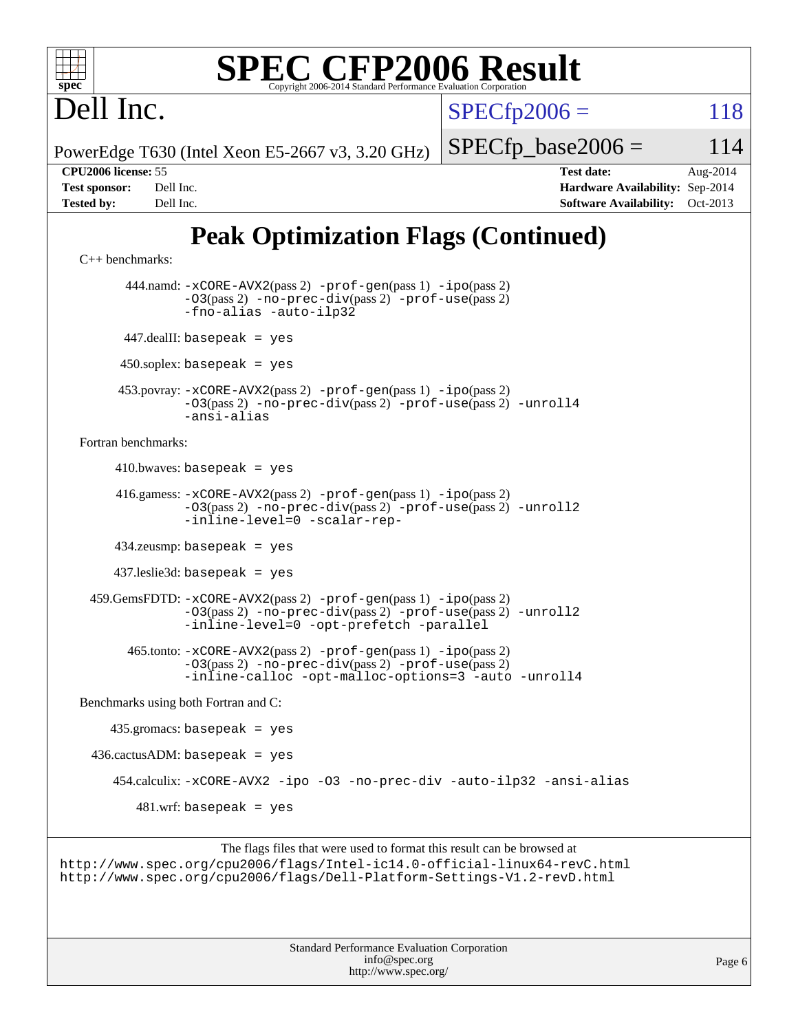# **[SPEC CFP2006 Result](http://www.spec.org/auto/cpu2006/Docs/result-fields.html#SPECCFP2006Result)**

Dell Inc.

 $SPECfp2006 = 118$  $SPECfp2006 = 118$ 

PowerEdge T630 (Intel Xeon E5-2667 v3, 3.20 GHz)

 $SPECTp\_base2006 = 114$ 

[C++ benchmarks:](http://www.spec.org/auto/cpu2006/Docs/result-fields.html#CXXbenchmarks)

**[CPU2006 license:](http://www.spec.org/auto/cpu2006/Docs/result-fields.html#CPU2006license)** 55 **[Test date:](http://www.spec.org/auto/cpu2006/Docs/result-fields.html#Testdate)** Aug-2014 **[Test sponsor:](http://www.spec.org/auto/cpu2006/Docs/result-fields.html#Testsponsor)** Dell Inc. **[Hardware Availability:](http://www.spec.org/auto/cpu2006/Docs/result-fields.html#HardwareAvailability)** Sep-2014 **[Tested by:](http://www.spec.org/auto/cpu2006/Docs/result-fields.html#Testedby)** Dell Inc. **[Software Availability:](http://www.spec.org/auto/cpu2006/Docs/result-fields.html#SoftwareAvailability)** Oct-2013

# **[Peak Optimization Flags \(Continued\)](http://www.spec.org/auto/cpu2006/Docs/result-fields.html#PeakOptimizationFlags)**

```
 444.namd: -xCORE-AVX2(pass 2) -prof-gen(pass 1) -ipo(pass 2)
         -O3(pass 2) -no-prec-div(pass 2) -prof-use(pass 2)
         -fno-alias -auto-ilp32
 447.dealII: basepeak = yes
450.soplex: basepeak = yes
```
 453.povray: [-xCORE-AVX2](http://www.spec.org/cpu2006/results/res2014q3/cpu2006-20140825-31018.flags.html#user_peakPASS2_CXXFLAGSPASS2_LDFLAGS453_povray_f-xAVX2_5f5fc0cbe2c9f62c816d3e45806c70d7)(pass 2) [-prof-gen](http://www.spec.org/cpu2006/results/res2014q3/cpu2006-20140825-31018.flags.html#user_peakPASS1_CXXFLAGSPASS1_LDFLAGS453_povray_prof_gen_e43856698f6ca7b7e442dfd80e94a8fc)(pass 1) [-ipo](http://www.spec.org/cpu2006/results/res2014q3/cpu2006-20140825-31018.flags.html#user_peakPASS2_CXXFLAGSPASS2_LDFLAGS453_povray_f-ipo)(pass 2) [-O3](http://www.spec.org/cpu2006/results/res2014q3/cpu2006-20140825-31018.flags.html#user_peakPASS2_CXXFLAGSPASS2_LDFLAGS453_povray_f-O3)(pass 2) [-no-prec-div](http://www.spec.org/cpu2006/results/res2014q3/cpu2006-20140825-31018.flags.html#user_peakPASS2_CXXFLAGSPASS2_LDFLAGS453_povray_f-no-prec-div)(pass 2) [-prof-use](http://www.spec.org/cpu2006/results/res2014q3/cpu2006-20140825-31018.flags.html#user_peakPASS2_CXXFLAGSPASS2_LDFLAGS453_povray_prof_use_bccf7792157ff70d64e32fe3e1250b55)(pass 2) [-unroll4](http://www.spec.org/cpu2006/results/res2014q3/cpu2006-20140825-31018.flags.html#user_peakCXXOPTIMIZE453_povray_f-unroll_4e5e4ed65b7fd20bdcd365bec371b81f) [-ansi-alias](http://www.spec.org/cpu2006/results/res2014q3/cpu2006-20140825-31018.flags.html#user_peakCXXOPTIMIZE453_povray_f-ansi-alias)

[Fortran benchmarks](http://www.spec.org/auto/cpu2006/Docs/result-fields.html#Fortranbenchmarks):

 $410.bwaves: basepeak = yes$ 

```
 416.gamess: -xCORE-AVX2(pass 2) -prof-gen(pass 1) -ipo(pass 2)
          -O3(pass 2) -no-prec-div(pass 2) -prof-use(pass 2) -unroll2
          -inline-level=0 -scalar-rep-
```
434.zeusmp: basepeak = yes

437.leslie3d: basepeak = yes

 459.GemsFDTD: [-xCORE-AVX2](http://www.spec.org/cpu2006/results/res2014q3/cpu2006-20140825-31018.flags.html#user_peakPASS2_FFLAGSPASS2_LDFLAGS459_GemsFDTD_f-xAVX2_5f5fc0cbe2c9f62c816d3e45806c70d7)(pass 2) [-prof-gen](http://www.spec.org/cpu2006/results/res2014q3/cpu2006-20140825-31018.flags.html#user_peakPASS1_FFLAGSPASS1_LDFLAGS459_GemsFDTD_prof_gen_e43856698f6ca7b7e442dfd80e94a8fc)(pass 1) [-ipo](http://www.spec.org/cpu2006/results/res2014q3/cpu2006-20140825-31018.flags.html#user_peakPASS2_FFLAGSPASS2_LDFLAGS459_GemsFDTD_f-ipo)(pass 2) [-O3](http://www.spec.org/cpu2006/results/res2014q3/cpu2006-20140825-31018.flags.html#user_peakPASS2_FFLAGSPASS2_LDFLAGS459_GemsFDTD_f-O3)(pass 2) [-no-prec-div](http://www.spec.org/cpu2006/results/res2014q3/cpu2006-20140825-31018.flags.html#user_peakPASS2_FFLAGSPASS2_LDFLAGS459_GemsFDTD_f-no-prec-div)(pass 2) [-prof-use](http://www.spec.org/cpu2006/results/res2014q3/cpu2006-20140825-31018.flags.html#user_peakPASS2_FFLAGSPASS2_LDFLAGS459_GemsFDTD_prof_use_bccf7792157ff70d64e32fe3e1250b55)(pass 2) [-unroll2](http://www.spec.org/cpu2006/results/res2014q3/cpu2006-20140825-31018.flags.html#user_peakOPTIMIZE459_GemsFDTD_f-unroll_784dae83bebfb236979b41d2422d7ec2) [-inline-level=0](http://www.spec.org/cpu2006/results/res2014q3/cpu2006-20140825-31018.flags.html#user_peakOPTIMIZE459_GemsFDTD_f-inline-level_318d07a09274ad25e8d15dbfaa68ba50) [-opt-prefetch](http://www.spec.org/cpu2006/results/res2014q3/cpu2006-20140825-31018.flags.html#user_peakOPTIMIZE459_GemsFDTD_f-opt-prefetch) [-parallel](http://www.spec.org/cpu2006/results/res2014q3/cpu2006-20140825-31018.flags.html#user_peakOPTIMIZE459_GemsFDTD_f-parallel)

 465.tonto: [-xCORE-AVX2](http://www.spec.org/cpu2006/results/res2014q3/cpu2006-20140825-31018.flags.html#user_peakPASS2_FFLAGSPASS2_LDFLAGS465_tonto_f-xAVX2_5f5fc0cbe2c9f62c816d3e45806c70d7)(pass 2) [-prof-gen](http://www.spec.org/cpu2006/results/res2014q3/cpu2006-20140825-31018.flags.html#user_peakPASS1_FFLAGSPASS1_LDFLAGS465_tonto_prof_gen_e43856698f6ca7b7e442dfd80e94a8fc)(pass 1) [-ipo](http://www.spec.org/cpu2006/results/res2014q3/cpu2006-20140825-31018.flags.html#user_peakPASS2_FFLAGSPASS2_LDFLAGS465_tonto_f-ipo)(pass 2) [-O3](http://www.spec.org/cpu2006/results/res2014q3/cpu2006-20140825-31018.flags.html#user_peakPASS2_FFLAGSPASS2_LDFLAGS465_tonto_f-O3)(pass 2) [-no-prec-div](http://www.spec.org/cpu2006/results/res2014q3/cpu2006-20140825-31018.flags.html#user_peakPASS2_FFLAGSPASS2_LDFLAGS465_tonto_f-no-prec-div)(pass 2) [-prof-use](http://www.spec.org/cpu2006/results/res2014q3/cpu2006-20140825-31018.flags.html#user_peakPASS2_FFLAGSPASS2_LDFLAGS465_tonto_prof_use_bccf7792157ff70d64e32fe3e1250b55)(pass 2) [-inline-calloc](http://www.spec.org/cpu2006/results/res2014q3/cpu2006-20140825-31018.flags.html#user_peakOPTIMIZE465_tonto_f-inline-calloc) [-opt-malloc-options=3](http://www.spec.org/cpu2006/results/res2014q3/cpu2006-20140825-31018.flags.html#user_peakOPTIMIZE465_tonto_f-opt-malloc-options_13ab9b803cf986b4ee62f0a5998c2238) [-auto](http://www.spec.org/cpu2006/results/res2014q3/cpu2006-20140825-31018.flags.html#user_peakOPTIMIZE465_tonto_f-auto) [-unroll4](http://www.spec.org/cpu2006/results/res2014q3/cpu2006-20140825-31018.flags.html#user_peakOPTIMIZE465_tonto_f-unroll_4e5e4ed65b7fd20bdcd365bec371b81f)

[Benchmarks using both Fortran and C](http://www.spec.org/auto/cpu2006/Docs/result-fields.html#BenchmarksusingbothFortranandC):

 435.gromacs: basepeak = yes  $436.cactusADM: basepeak = yes$  454.calculix: [-xCORE-AVX2](http://www.spec.org/cpu2006/results/res2014q3/cpu2006-20140825-31018.flags.html#user_peakOPTIMIZE454_calculix_f-xAVX2_5f5fc0cbe2c9f62c816d3e45806c70d7) [-ipo](http://www.spec.org/cpu2006/results/res2014q3/cpu2006-20140825-31018.flags.html#user_peakOPTIMIZE454_calculix_f-ipo) [-O3](http://www.spec.org/cpu2006/results/res2014q3/cpu2006-20140825-31018.flags.html#user_peakOPTIMIZE454_calculix_f-O3) [-no-prec-div](http://www.spec.org/cpu2006/results/res2014q3/cpu2006-20140825-31018.flags.html#user_peakOPTIMIZE454_calculix_f-no-prec-div) [-auto-ilp32](http://www.spec.org/cpu2006/results/res2014q3/cpu2006-20140825-31018.flags.html#user_peakCOPTIMIZE454_calculix_f-auto-ilp32) [-ansi-alias](http://www.spec.org/cpu2006/results/res2014q3/cpu2006-20140825-31018.flags.html#user_peakCOPTIMIZE454_calculix_f-ansi-alias)  $481.$ wrf: basepeak = yes

```
The flags files that were used to format this result can be browsed at
http://www.spec.org/cpu2006/flags/Intel-ic14.0-official-linux64-revC.html
http://www.spec.org/cpu2006/flags/Dell-Platform-Settings-V1.2-revD.html
```